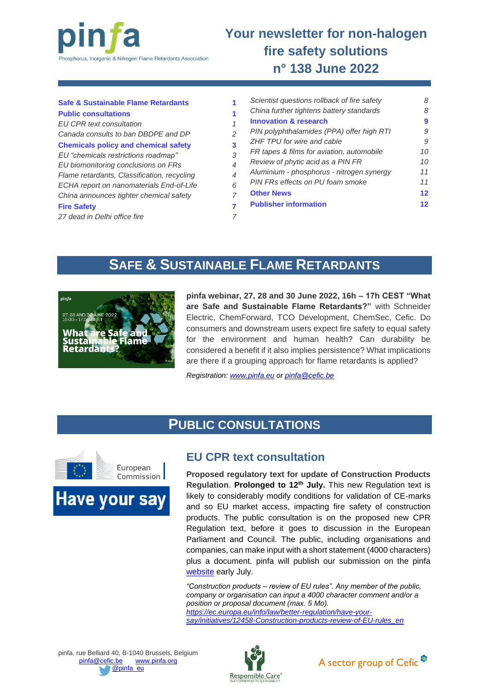

# **Your newsletter for non-halogen fire safety solutions n° 138 June 2022**

| <b>Safe &amp; Sustainable Flame Retardants</b><br><b>Public consultations</b><br><b>EU CPR text consultation</b>                                                                                                                                                |                               | Scientist questions rollback of fire safety | 8               |
|-----------------------------------------------------------------------------------------------------------------------------------------------------------------------------------------------------------------------------------------------------------------|-------------------------------|---------------------------------------------|-----------------|
|                                                                                                                                                                                                                                                                 |                               | China further tightens battery standards    | 8               |
|                                                                                                                                                                                                                                                                 |                               | <b>Innovation &amp; research</b>            | 9               |
| Canada consults to ban DBDPE and DP                                                                                                                                                                                                                             | っ                             | PIN polyphthalamides (PPA) offer high RTI   | 9               |
| <b>Chemicals policy and chemical safety</b><br>EU "chemicals restrictions roadmap"<br>EU biomonitoring conclusions on FRs<br>Flame retardants, Classification, recycling<br>ECHA report on nanomaterials End-of-Life<br>China announces tighter chemical safety | 3<br>4<br>$\overline{4}$<br>6 | ZHF TPU for wire and cable                  | 9               |
|                                                                                                                                                                                                                                                                 |                               | FR tapes & films for aviation, automobile   | 10              |
|                                                                                                                                                                                                                                                                 |                               | Review of phytic acid as a PIN FR           | 10 <sup>1</sup> |
|                                                                                                                                                                                                                                                                 |                               | Aluminium - phosphorus - nitrogen synergy   | 11              |
|                                                                                                                                                                                                                                                                 |                               | PIN FRs effects on PU foam smoke            | 11              |
|                                                                                                                                                                                                                                                                 |                               | <b>Other News</b>                           | $12 \,$         |
| <b>Fire Safety</b>                                                                                                                                                                                                                                              |                               | <b>Publisher information</b>                | $12 \,$         |
| 27 dead in Delhi office fire                                                                                                                                                                                                                                    |                               |                                             |                 |

# **SAFE & SUSTAINABLE FLAME RETARDANTS**

<span id="page-0-0"></span>

**pinfa webinar, 27, 28 and 30 June 2022, 16h – 17h CEST "What are Safe and Sustainable Flame Retardants?"** with Schneider Electric, ChemForward, TCO Development, ChemSec, Cefic. Do consumers and downstream users expect fire safety to equal safety for the environment and human health? Can durability be considered a benefit if it also implies persistence? What implications are there if a grouping approach for flame retardants is applied?

*Registration: [www.pinfa.eu](http://www.pinfa.eu/) or [pinfa@cefic.be](mailto:pinfa@cefic.be)*

## **PUBLIC CONSULTATIONS**

<span id="page-0-2"></span><span id="page-0-1"></span>

**Have your say** 

### **EU CPR text consultation**

**Proposed regulatory text for update of Construction Products Regulation**. **Prolonged to 12th July.** This new Regulation text is likely to considerably modify conditions for validation of CE-marks and so EU market access, impacting fire safety of construction products. The public consultation is on the proposed new CPR Regulation text, before it goes to discussion in the European Parliament and Council. The public, including organisations and companies, can make input with a short statement (4000 characters) plus a document. pinfa will publish our submission on the pinfa [website](http://www.pinfa.eu/) early July.

*"Construction products – review of EU rules". Any member of the public, company or organisation can input a 4000 character comment and/or a position or proposal document (max. 5 Mo). [https://ec.europa.eu/info/law/better-regulation/have-your](https://ec.europa.eu/info/law/better-regulation/have-your-say/initiatives/12458-Construction-products-review-of-EU-rules_en)[say/initiatives/12458-Construction-products-review-of-EU-rules\\_en](https://ec.europa.eu/info/law/better-regulation/have-your-say/initiatives/12458-Construction-products-review-of-EU-rules_en)*



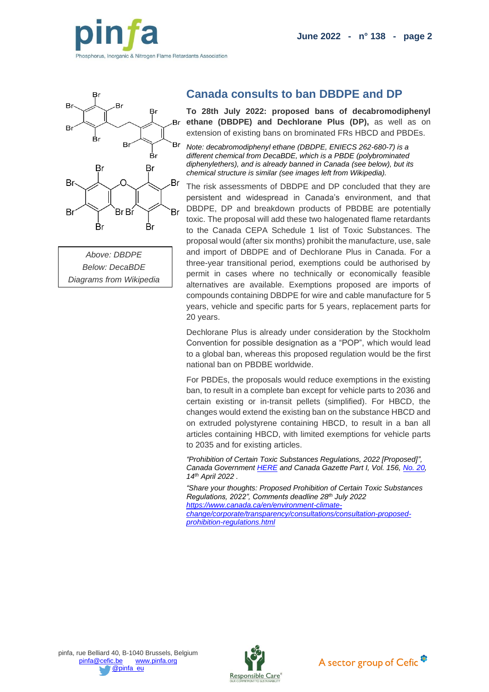



<span id="page-1-0"></span>

*Above: DBDPE Below: DecaBDE Diagrams from Wikipedia*

### **Canada consults to ban DBDPE and DP**

**To 28th July 2022: proposed bans of decabromodiphenyl ethane (DBDPE) and Dechlorane Plus (DP),** as well as on extension of existing bans on brominated FRs HBCD and PBDEs.

*Note: decabromodiphenyl ethane (DBDPE, ENIECS 262-680-7) is a different chemical from DecaBDE, which is a PBDE (polybrominated diphenylethers), and is already banned in Canada (see below), but its chemical structure is similar (see images left from Wikipedia).*

The risk assessments of DBDPE and DP concluded that they are persistent and widespread in Canada's environment, and that DBDPE, DP and breakdown products of PBDBE are potentially toxic. The proposal will add these two halogenated flame retardants to the Canada CEPA Schedule 1 list of Toxic Substances. The proposal would (after six months) prohibit the manufacture, use, sale and import of DBDPE and of Dechlorane Plus in Canada. For a three-year transitional period, exemptions could be authorised by permit in cases where no technically or economically feasible alternatives are available. Exemptions proposed are imports of compounds containing DBDPE for wire and cable manufacture for 5 years, vehicle and specific parts for 5 years, replacement parts for 20 years.

Dechlorane Plus is already under consideration by the Stockholm Convention for possible designation as a "POP", which would lead to a global ban, whereas this proposed regulation would be the first national ban on PBDBE worldwide.

For PBDEs, the proposals would reduce exemptions in the existing ban, to result in a complete ban except for vehicle parts to 2036 and certain existing or in-transit pellets (simplified). For HBCD, the changes would extend the existing ban on the substance HBCD and on extruded polystyrene containing HBCD, to result in a ban all articles containing HBCD, with limited exemptions for vehicle parts to 2035 and for existing articles.

*"Prohibition of Certain Toxic Substances Regulations, 2022 [Proposed]", Canada Government [HERE](https://pollution-waste.canada.ca/environmental-protection-registry/regulations/view?Id=2175) and Canada Gazette Part I, Vol. 156[, No. 20,](https://www.gazette.gc.ca/rp-pr/p1/2022/2022-05-14/html/reg2-eng.html) 14th April 2022 .*

*"Share your thoughts: Proposed Prohibition of Certain Toxic Substances Regulations, 2022", Comments deadline 28th July 2022 [https://www.canada.ca/en/environment-climate](https://www.canada.ca/en/environment-climate-change/corporate/transparency/consultations/consultation-proposed-prohibition-regulations.html)[change/corporate/transparency/consultations/consultation-proposed](https://www.canada.ca/en/environment-climate-change/corporate/transparency/consultations/consultation-proposed-prohibition-regulations.html)[prohibition-regulations.html](https://www.canada.ca/en/environment-climate-change/corporate/transparency/consultations/consultation-proposed-prohibition-regulations.html)*



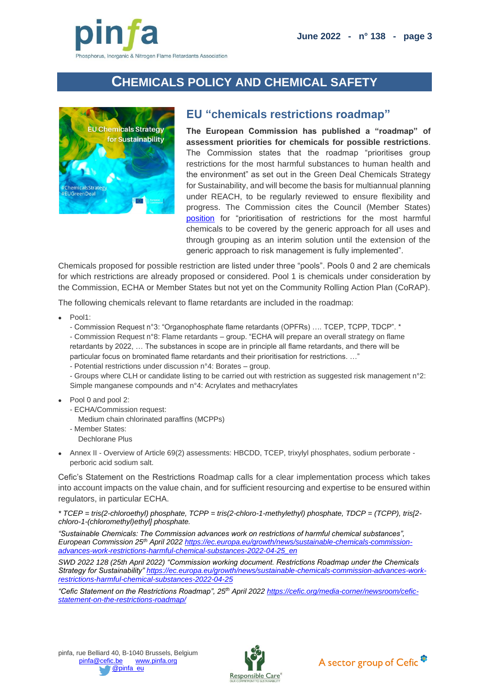

# **CHEMICALS POLICY AND CHEMICAL SAFETY**

<span id="page-2-1"></span><span id="page-2-0"></span>

#### **EU "chemicals restrictions roadmap"**

**The European Commission has published a "roadmap" of assessment priorities for chemicals for possible restrictions**. The Commission states that the roadmap "prioritises group restrictions for the most harmful substances to human health and the environment" as set out in the Green Deal Chemicals Strategy for Sustainability, and will become the basis for multiannual planning under REACH, to be regularly reviewed to ensure flexibility and progress. The Commission cites the Council (Member States) [position](https://www.consilium.europa.eu/media/48827/st06941-en21.pdf) for "prioritisation of restrictions for the most harmful chemicals to be covered by the generic approach for all uses and through grouping as an interim solution until the extension of the generic approach to risk management is fully implemented".

Chemicals proposed for possible restriction are listed under three "pools". Pools 0 and 2 are chemicals for which restrictions are already proposed or considered. Pool 1 is chemicals under consideration by the Commission, ECHA or Member States but not yet on the Community Rolling Action Plan (CoRAP).

The following chemicals relevant to flame retardants are included in the roadmap:

- Pool1:
	- Commission Request n°3: "Organophosphate flame retardants (OPFRs) …. TCEP, TCPP, TDCP". \*

- Commission Request n°8: Flame retardants – group. "ECHA will prepare an overall strategy on flame retardants by 2022, … The substances in scope are in principle all flame retardants, and there will be particular focus on brominated flame retardants and their prioritisation for restrictions. …"

- Potential restrictions under discussion n°4: Borates – group.

- Groups where CLH or candidate listing to be carried out with restriction as suggested risk management n°2: Simple manganese compounds and n°4: Acrylates and methacrylates

- Pool 0 and pool 2:
	- ECHA/Commission request:
	- Medium chain chlorinated paraffins (MCPPs)
	- Member States:

Dechlorane Plus

• Annex II - Overview of Article 69(2) assessments: HBCDD, TCEP, trixylyl phosphates, sodium perborate perboric acid sodium salt.

Cefic's Statement on the Restrictions Roadmap calls for a clear implementation process which takes into account impacts on the value chain, and for sufficient resourcing and expertise to be ensured within regulators, in particular ECHA.

*\* TCEP = tris(2-chloroethyl) phosphate, TCPP = tris(2-chloro-1-methylethyl) phosphate, TDCP = (TCPP), tris[2 chloro-1-(chloromethyl)ethyl] phosphate.*

*"Sustainable Chemicals: The Commission advances work on restrictions of harmful chemical substances", European Commission 25th April 2022 [https://ec.europa.eu/growth/news/sustainable-chemicals-commission](https://ec.europa.eu/growth/news/sustainable-chemicals-commission-advances-work-restrictions-harmful-chemical-substances-2022-04-25_en)[advances-work-restrictions-harmful-chemical-substances-2022-04-25\\_en](https://ec.europa.eu/growth/news/sustainable-chemicals-commission-advances-work-restrictions-harmful-chemical-substances-2022-04-25_en)*

*SWD 2022 128 (25th April 2022) "Commission working document. Restrictions Roadmap under the Chemicals Strategy for Sustainability" [https://ec.europa.eu/growth/news/sustainable-chemicals-commission-advances-work](https://ec.europa.eu/growth/news/sustainable-chemicals-commission-advances-work-restrictions-harmful-chemical-substances-2022-04-25)[restrictions-harmful-chemical-substances-2022-04-25](https://ec.europa.eu/growth/news/sustainable-chemicals-commission-advances-work-restrictions-harmful-chemical-substances-2022-04-25)*

*"Cefic Statement on the Restrictions Roadmap", 25th April 2022 [https://cefic.org/media-corner/newsroom/cefic](https://cefic.org/media-corner/newsroom/cefic-statement-on-the-restrictions-roadmap/)[statement-on-the-restrictions-roadmap/](https://cefic.org/media-corner/newsroom/cefic-statement-on-the-restrictions-roadmap/)*



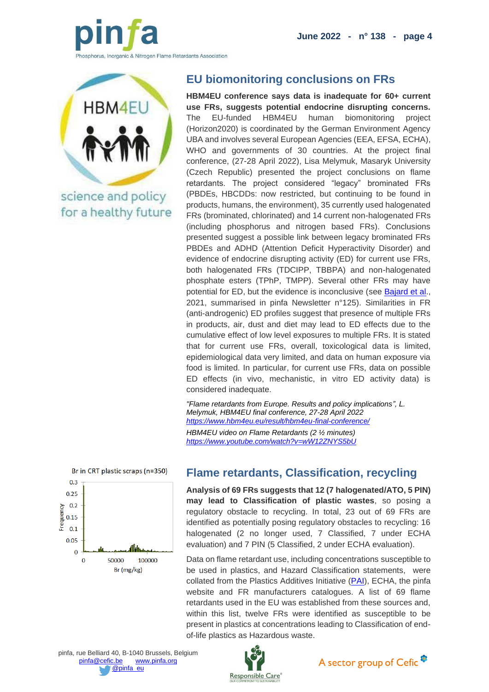**June 2022 - n° 138 - page 4**



<span id="page-3-0"></span>

science and policy for a healthy future

## **EU biomonitoring conclusions on FRs**

**HBM4EU conference says data is inadequate for 60+ current use FRs, suggests potential endocrine disrupting concerns.**  The EU-funded HBM4EU human biomonitoring project (Horizon2020) is coordinated by the German Environment Agency UBA and involves several European Agencies (EEA, EFSA, ECHA), WHO and governments of 30 countries. At the project final conference, (27-28 April 2022), Lisa Melymuk, Masaryk University (Czech Republic) presented the project conclusions on flame retardants. The project considered "legacy" brominated FRs (PBDEs, HBCDDs: now restricted, but continuing to be found in products, humans, the environment), 35 currently used halogenated FRs (brominated, chlorinated) and 14 current non-halogenated FRs (including phosphorus and nitrogen based FRs). Conclusions presented suggest a possible link between legacy brominated FRs PBDEs and ADHD (Attention Deficit Hyperactivity Disorder) and evidence of endocrine disrupting activity (ED) for current use FRs, both halogenated FRs (TDCIPP, TBBPA) and non-halogenated phosphate esters (TPhP, TMPP). Several other FRs may have potential for ED, but the evidence is inconclusive (see [Bajard et al.](https://doi.org/10.1016/j.envint.2021.106550), 2021, summarised in pinfa Newsletter n°125). Similarities in FR (anti-androgenic) ED profiles suggest that presence of multiple FRs in products, air, dust and diet may lead to ED effects due to the cumulative effect of low level exposures to multiple FRs. It is stated that for current use FRs, overall, toxicological data is limited, epidemiological data very limited, and data on human exposure via food is limited. In particular, for current use FRs, data on possible ED effects (in vivo, mechanistic, in vitro ED activity data) is considered inadequate.

*"Flame retardants from Europe. Results and policy implications", L. Melymuk, HBM4EU final conference, 27-28 April 2022 <https://www.hbm4eu.eu/result/hbm4eu-final-conference/> HBM4EU video on Flame Retardants (2 ½ minutes) <https://www.youtube.com/watch?v=wW12ZNYS5bU>*

<span id="page-3-1"></span>

### **Flame retardants, Classification, recycling**

**Analysis of 69 FRs suggests that 12 (7 halogenated/ATO, 5 PIN) may lead to Classification of plastic wastes**, so posing a regulatory obstacle to recycling. In total, 23 out of 69 FRs are identified as potentially posing regulatory obstacles to recycling: 16 halogenated (2 no longer used, 7 Classified, 7 under ECHA evaluation) and 7 PIN (5 Classified, 2 under ECHA evaluation).

Data on flame retardant use, including concentrations susceptible to be used in plastics, and Hazard Classification statements, were collated from the Plastics Additives Initiative [\(PAI\)](https://echa.europa.eu/fr/plastic-additives-initiative), ECHA, the pinfa website and FR manufacturers catalogues. A list of 69 flame retardants used in the EU was established from these sources and, within this list, twelve FRs were identified as susceptible to be present in plastics at concentrations leading to Classification of endof-life plastics as Hazardous waste.

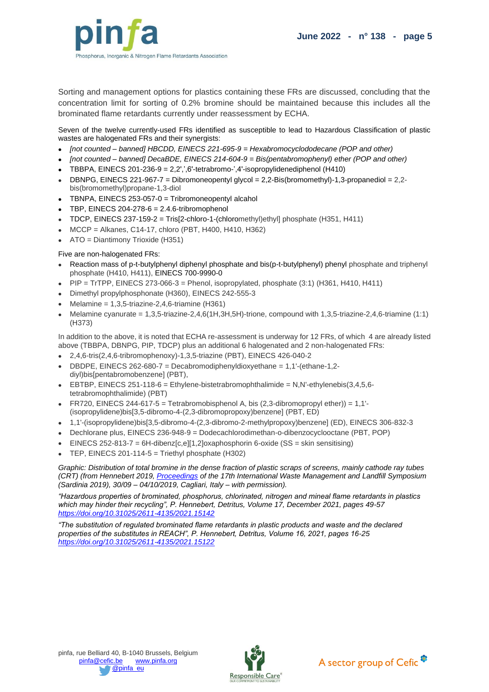

Sorting and management options for plastics containing these FRs are discussed, concluding that the concentration limit for sorting of 0.2% bromine should be maintained because this includes all the brominated flame retardants currently under reassessment by ECHA.

Seven of the twelve currently-used FRs identified as susceptible to lead to Hazardous Classification of plastic wastes are halogenated FRs and their synergists:

- *[not counted – banned] HBCDD, EINECS 221-695-9 = Hexabromocyclododecane (POP and other)*
- *[not counted – banned] DecaBDE, EINECS 214-604-9 = Bis(pentabromophenyl) ether (POP and other)*
- TBBPA, EINECS 201-236-9 = 2,2',',6'-tetrabromo-',4'-isopropylidenediphenol (H410)
- DBNPG, EINECS 221-967-7 = Dibromoneopentyl glycol = 2,2-Bis(bromomethyl)-1,3-propanediol = 2,2 bis(bromomethyl)propane-1,3-diol
- TBNPA, EINECS 253-057-0 = Tribromoneopentyl alcahol
- TBP, EINECS 204-278-6 = 2.4.6-tribromophenol
- TDCP, EINECS 237-159-2 = Tris[2-chloro-1-(chloromethyl)ethyl] phosphate (H351, H411)
- MCCP = Alkanes, C14-17, chloro (PBT, H400, H410, H362)
- ATO = Diantimony Trioxide (H351)

#### Five are non-halogenated FRs:

- Reaction mass of p-t-butylphenyl diphenyl phosphate and bis(p-t-butylphenyl) phenyl phosphate and triphenyl phosphate (H410, H411), EINECS 700-9990-0
- PIP = TrTPP, EINECS 273-066-3 = Phenol, isopropylated, phosphate (3:1) (H361, H410, H411)
- Dimethyl propylphosphonate (H360), EINECS 242-555-3
- Melamine =  $1,3,5$ -triazine-2,4,6-triamine (H361)
- Melamine cyanurate = 1,3,5-triazine-2,4,6(1H,3H,5H)-trione, compound with 1,3,5-triazine-2,4,6-triamine (1:1) (H373)

In addition to the above, it is noted that ECHA re-assessment is underway for 12 FRs, of which 4 are already listed above (TBBPA, DBNPG, PIP, TDCP) plus an additional 6 halogenated and 2 non-halogenated FRs:

- 2,4,6-tris(2,4,6-tribromophenoxy)-1,3,5-triazine (PBT), EINECS 426-040-2
- DBDPE, EINECS 262-680-7 = Decabromodiphenyldioxyethane = 1,1'-(ethane-1,2 diyl)bis[pentabromobenzene] (PBT),
- EBTBP, EINECS 251-118-6 = Ethylene-bistetrabromophthalimide = N,N'-ethylenebis(3,4,5,6 tetrabromophthalimide) (PBT)
- FR720, EINECS 244-617-5 = Tetrabromobisphenol A, bis  $(2,3$ -dibromopropyl ether)) = 1,1'-(isopropylidene)bis[3,5-dibromo-4-(2,3-dibromopropoxy)benzene] (PBT, ED)
- 1,1'-(isopropylidene)bis[3,5-dibromo-4-(2,3-dibromo-2-methylpropoxy)benzene] (ED), EINECS 306-832-3
- Dechlorane plus, EINECS 236-948-9 = Dodecachlorodimethan-o-dibenzocyclooctane (PBT, POP)
- $EINECS 252-813-7 = 6H\{-dibenz[c, e] [1, 2] 0xanabosphorin 6-oxide (SS = skin sensitisina)$
- TEP, EINECS 201-114-5 = Triethyl phosphate (H302)

*Graphic: Distribution of total bromine in the dense fraction of plastic scraps of screens, mainly cathode ray tubes (CRT) (from Hennebert 2019, [Proceedings](https://cisapublisher.com/product/proceedings-sardinia-2019/) of the 17th International Waste Management and Landfill Symposium (Sardinia 2019), 30/09 – 04/10/2019, Cagliari, Italy – with permission).*

*"Hazardous properties of brominated, phosphorus, chlorinated, nitrogen and mineal flame retardants in plastics which may hinder their recycling", P. Hennebert, Detritus, Volume 17, December 2021, pages 49-57 <https://doi.org/10.31025/2611-4135/2021.15142>*

*"The substitution of regulated brominated flame retardants in plastic products and waste and the declared properties of the substitutes in REACH", P. Hennebert, Detritus, Volume 16, 2021, pages 16-25 <https://doi.org/10.31025/2611-4135/2021.15122>*



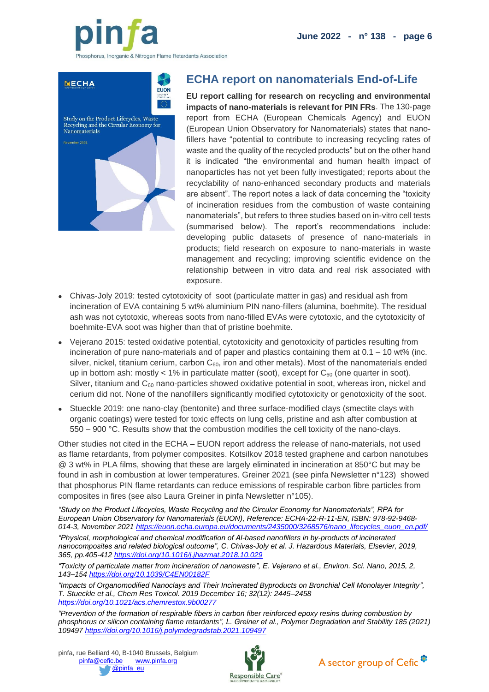

<span id="page-5-0"></span>

### **ECHA report on nanomaterials End-of-Life**

**EU report calling for research on recycling and environmental impacts of nano-materials is relevant for PIN FRs**. The 130-page report from ECHA (European Chemicals Agency) and EUON (European Union Observatory for Nanomaterials) states that nanofillers have "potential to contribute to increasing recycling rates of waste and the quality of the recycled products" but on the other hand it is indicated "the environmental and human health impact of nanoparticles has not yet been fully investigated; reports about the recyclability of nano-enhanced secondary products and materials are absent". The report notes a lack of data concerning the "toxicity of incineration residues from the combustion of waste containing nanomaterials", but refers to three studies based on in-vitro cell tests (summarised below). The report's recommendations include: developing public datasets of presence of nano-materials in products; field research on exposure to nano-materials in waste management and recycling; improving scientific evidence on the relationship between in vitro data and real risk associated with exposure.

- Chivas-Joly 2019: tested cytotoxicity of soot (particulate matter in gas) and residual ash from incineration of EVA containing 5 wt% aluminium PIN nano-fillers (alumina, boehmite). The residual ash was not cytotoxic, whereas soots from nano-filled EVAs were cytotoxic, and the cytotoxicity of boehmite-EVA soot was higher than that of pristine boehmite.
- Vejerano 2015: tested oxidative potential, cytotoxicity and genotoxicity of particles resulting from incineration of pure nano-materials and of paper and plastics containing them at 0.1 – 10 wt% (inc. silver, nickel, titanium cerium, carbon  $C_{60}$ , iron and other metals). Most of the nanomaterials ended up in bottom ash: mostly < 1% in particulate matter (soot), except for  $C_{60}$  (one quarter in soot). Silver, titanium and  $C_{60}$  nano-particles showed oxidative potential in soot, whereas iron, nickel and cerium did not. None of the nanofillers significantly modified cytotoxicity or genotoxicity of the soot.
- Stueckle 2019: one nano-clay (bentonite) and three surface-modified clays (smectite clays with organic coatings) were tested for toxic effects on lung cells, pristine and ash after combustion at 550 – 900 °C. Results show that the combustion modifies the cell toxicity of the nano-clays.

Other studies not cited in the ECHA – EUON report address the release of nano-materials, not used as flame retardants, from polymer composites. Kotsilkov 2018 tested graphene and carbon nanotubes @ 3 wt% in PLA films, showing that these are largely eliminated in incineration at 850°C but may be found in ash in combustion at lower temperatures. Greiner 2021 (see pinfa Newsletter n°123) showed that phosphorus PIN flame retardants can reduce emissions of respirable carbon fibre particles from composites in fires (see also Laura Greiner in pinfa Newsletter n°105).

*"Study on the Product Lifecycles, Waste Recycling and the Circular Economy for Nanomaterials", RPA for European Union Observatory for Nanomaterials (EUON), Reference: ECHA-22-R-11-EN, ISBN: 978-92-9468- 014-3, November 2021 [https://euon.echa.europa.eu/documents/2435000/3268576/nano\\_lifecycles\\_euon\\_en.pdf/](https://euon.echa.europa.eu/documents/2435000/3268576/nano_lifecycles_euon_en.pdf/) "Physical, morphological and chemical modification of Al-based nanofillers in by-products of incinerated nanocomposites and related biological outcome", C. Chivas-Joly et al. J. Hazardous Materials, Elsevier, 2019, 365, pp.405-412<https://doi.org/10.1016/j.jhazmat.2018.10.029>*

*"Toxicity of particulate matter from incineration of nanowaste", E. Vejerano et al., Environ. Sci. Nano, 2015, 2, 143–154 <https://doi.org/10.1039/C4EN00182F>*

*"Impacts of Organomodified Nanoclays and Their Incinerated Byproducts on Bronchial Cell Monolayer Integrity", T. Stueckle et al., Chem Res Toxicol. 2019 December 16; 32(12): 2445–2458 <https://doi.org/10.1021/acs.chemrestox.9b00277>*

*"Prevention of the formation of respirable fibers in carbon fiber reinforced epoxy resins during combustion by phosphorus or silicon containing flame retardants", L. Greiner et al., Polymer Degradation and Stability 185 (2021) 109497 <https://doi.org/10.1016/j.polymdegradstab.2021.109497>*



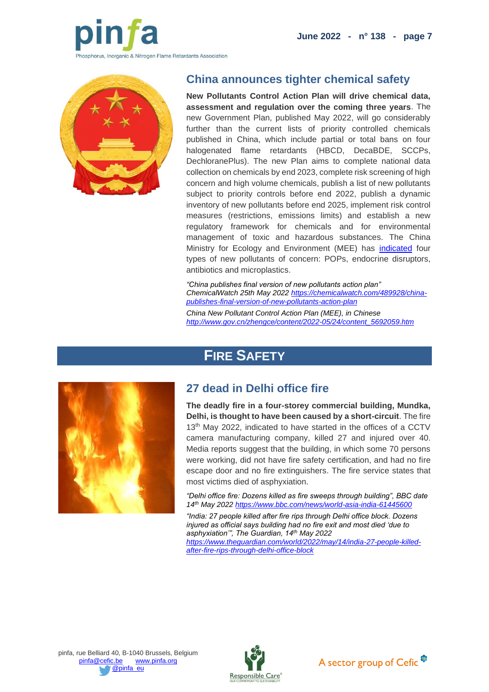**June 2022 - n° 138 - page 7**



<span id="page-6-0"></span>

#### **China announces tighter chemical safety**

**New Pollutants Control Action Plan will drive chemical data, assessment and regulation over the coming three years**. The new Government Plan, published May 2022, will go considerably further than the current lists of priority controlled chemicals published in China, which include partial or total bans on four halogenated flame retardants (HBCD, DecaBDE, SCCPs, DechloranePlus). The new Plan aims to complete national data collection on chemicals by end 2023, complete risk screening of high concern and high volume chemicals, publish a list of new pollutants subject to priority controls before end 2022, publish a dynamic inventory of new pollutants before end 2025, implement risk control measures (restrictions, emissions limits) and establish a new regulatory framework for chemicals and for environmental management of toxic and hazardous substances. The China Ministry for Ecology and Environment (MEE) has [indicated](https://www.reach24h.com/ko/news/industry-news/chemical/china-released-action-plan-for-new-pollutants-treatment.html) four types of new pollutants of concern: POPs, endocrine disruptors, antibiotics and microplastics.

*"China publishes final version of new pollutants action plan" ChemicalWatch 25th May 202[2 https://chemicalwatch.com/489928/china](https://chemicalwatch.com/489928/china-publishes-final-version-of-new-pollutants-action-plan)[publishes-final-version-of-new-pollutants-action-plan](https://chemicalwatch.com/489928/china-publishes-final-version-of-new-pollutants-action-plan)*

*China New Pollutant Control Action Plan (MEE), in Chinese [http://www.gov.cn/zhengce/content/2022-05/24/content\\_5692059.htm](http://www.gov.cn/zhengce/content/2022-05/24/content_5692059.htm)*

# **FIRE SAFETY**

<span id="page-6-2"></span><span id="page-6-1"></span>

### **27 dead in Delhi office fire**

**The deadly fire in a four-storey commercial building, Mundka, Delhi, is thought to have been caused by a short-circuit**. The fire 13<sup>th</sup> May 2022, indicated to have started in the offices of a CCTV camera manufacturing company, killed 27 and injured over 40. Media reports suggest that the building, in which some 70 persons were working, did not have fire safety certification, and had no fire escape door and no fire extinguishers. The fire service states that most victims died of asphyxiation.

*"Delhi office fire: Dozens killed as fire sweeps through building", BBC date 14th May 2022 <https://www.bbc.com/news/world-asia-india-61445600>*

*"India: 27 people killed after fire rips through Delhi office block. Dozens injured as official says building had no fire exit and most died 'due to asphyxiation'", The Guardian, 14th May 2022* 

*[https://www.theguardian.com/world/2022/may/14/india-27-people-killed](https://www.theguardian.com/world/2022/may/14/india-27-people-killed-after-fire-rips-through-delhi-office-block)[after-fire-rips-through-delhi-office-block](https://www.theguardian.com/world/2022/may/14/india-27-people-killed-after-fire-rips-through-delhi-office-block)*





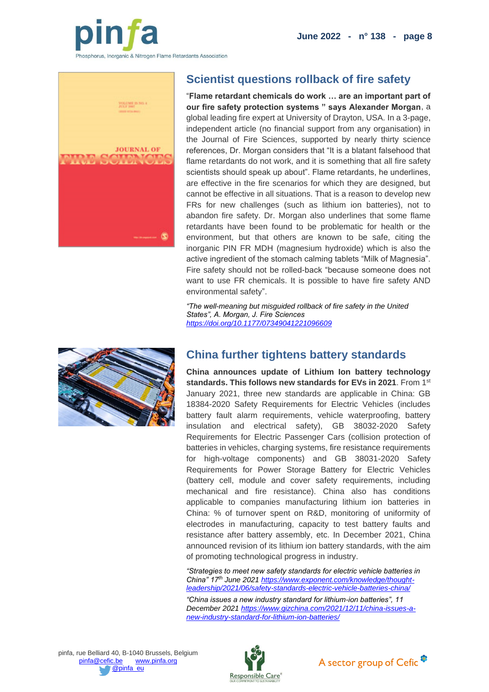

<span id="page-7-0"></span>

# **Scientist questions rollback of fire safety**

"**Flame retardant chemicals do work … are an important part of our fire safety protection systems " says Alexander Morgan**, a global leading fire expert at University of Drayton, USA. In a 3-page, independent article (no financial support from any organisation) in the Journal of Fire Sciences, supported by nearly thirty science references, Dr. Morgan considers that "It is a blatant falsehood that flame retardants do not work, and it is something that all fire safety scientists should speak up about". Flame retardants, he underlines, are effective in the fire scenarios for which they are designed, but cannot be effective in all situations. That is a reason to develop new FRs for new challenges (such as lithium ion batteries), not to abandon fire safety. Dr. Morgan also underlines that some flame retardants have been found to be problematic for health or the environment, but that others are known to be safe, citing the inorganic PIN FR MDH (magnesium hydroxide) which is also the active ingredient of the stomach calming tablets "Milk of Magnesia". Fire safety should not be rolled-back "because someone does not want to use FR chemicals. It is possible to have fire safety AND environmental safety".

*"The well-meaning but misguided rollback of fire safety in the United States", A. Morgan, J. Fire Sciences <https://doi.org/10.1177/07349041221096609>*

<span id="page-7-1"></span>

### **China further tightens battery standards**

**China announces update of Lithium Ion battery technology standards. This follows new standards for EVs in 2021**. From 1st January 2021, three new standards are applicable in China: GB 18384-2020 Safety Requirements for Electric Vehicles (includes battery fault alarm requirements, vehicle waterproofing, battery insulation and electrical safety), GB 38032-2020 Safety Requirements for Electric Passenger Cars (collision protection of batteries in vehicles, charging systems, fire resistance requirements for high-voltage components) and GB 38031-2020 Safety Requirements for Power Storage Battery for Electric Vehicles (battery cell, module and cover safety requirements, including mechanical and fire resistance). China also has conditions applicable to companies manufacturing lithium ion batteries in China: % of turnover spent on R&D, monitoring of uniformity of electrodes in manufacturing, capacity to test battery faults and resistance after battery assembly, etc. In December 2021, China announced revision of its lithium ion battery standards, with the aim of promoting technological progress in industry.

*"Strategies to meet new safety standards for electric vehicle batteries in China" 17th June 2021 [https://www.exponent.com/knowledge/thought](https://www.exponent.com/knowledge/thought-leadership/2021/06/safety-standards-electric-vehicle-batteries-china/)[leadership/2021/06/safety-standards-electric-vehicle-batteries-china/](https://www.exponent.com/knowledge/thought-leadership/2021/06/safety-standards-electric-vehicle-batteries-china/)*

*"China issues a new industry standard for lithium-ion batteries", 11 December 202[1 https://www.gizchina.com/2021/12/11/china-issues-a](https://www.gizchina.com/2021/12/11/china-issues-a-new-industry-standard-for-lithium-ion-batteries/)[new-industry-standard-for-lithium-ion-batteries/](https://www.gizchina.com/2021/12/11/china-issues-a-new-industry-standard-for-lithium-ion-batteries/)*



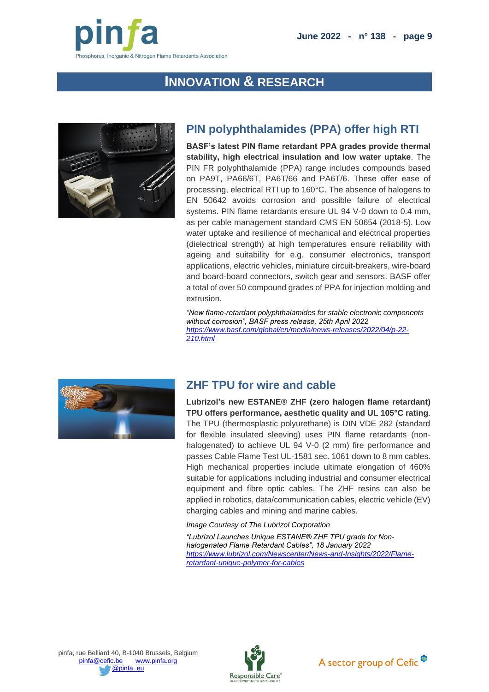

# **INNOVATION & RESEARCH**

<span id="page-8-1"></span><span id="page-8-0"></span>

## **PIN polyphthalamides (PPA) offer high RTI**

**BASF's latest PIN flame retardant PPA grades provide thermal stability, high electrical insulation and low water uptake**. The PIN FR polyphthalamide (PPA) range includes compounds based on PA9T, PA66/6T, PA6T/66 and PA6T/6. These offer ease of processing, electrical RTI up to 160°C. The absence of halogens to EN 50642 avoids corrosion and possible failure of electrical systems. PIN flame retardants ensure UL 94 V-0 down to 0.4 mm, as per cable management standard CMS EN 50654 (2018-5). Low water uptake and resilience of mechanical and electrical properties (dielectrical strength) at high temperatures ensure reliability with ageing and suitability for e.g. consumer electronics, transport applications, electric vehicles, miniature circuit-breakers, wire-board and board-board connectors, switch gear and sensors. BASF offer a total of over 50 compound grades of PPA for injection molding and extrusion.

*"New flame-retardant polyphthalamides for stable electronic components without corrosion", BASF press release, 25th April 2022 [https://www.basf.com/global/en/media/news-releases/2022/04/p-22-](https://www.basf.com/global/en/media/news-releases/2022/04/p-22-210.html) [210.html](https://www.basf.com/global/en/media/news-releases/2022/04/p-22-210.html)*

<span id="page-8-2"></span>

## **ZHF TPU for wire and cable**

**Lubrizol's new ESTANE® ZHF (zero halogen flame retardant) TPU offers performance, aesthetic quality and UL 105°C rating**. The TPU (thermosplastic polyurethane) is DIN VDE 282 (standard for flexible insulated sleeving) uses PIN flame retardants (nonhalogenated) to achieve UL 94 V-0 (2 mm) fire performance and passes Cable Flame Test UL-1581 sec. 1061 down to 8 mm cables. High mechanical properties include ultimate elongation of 460% suitable for applications including industrial and consumer electrical equipment and fibre optic cables. The ZHF resins can also be applied in robotics, data/communication cables, electric vehicle (EV) charging cables and mining and marine cables.

*Image Courtesy of The Lubrizol Corporation*

*"Lubrizol Launches Unique ESTANE® ZHF TPU grade for Nonhalogenated Flame Retardant Cables", 18 January 2022 [https://www.lubrizol.com/Newscenter/News-and-Insights/2022/Flame](https://www.lubrizol.com/Newscenter/News-and-Insights/2022/Flame-retardant-unique-polymer-for-cables)[retardant-unique-polymer-for-cables](https://www.lubrizol.com/Newscenter/News-and-Insights/2022/Flame-retardant-unique-polymer-for-cables)*



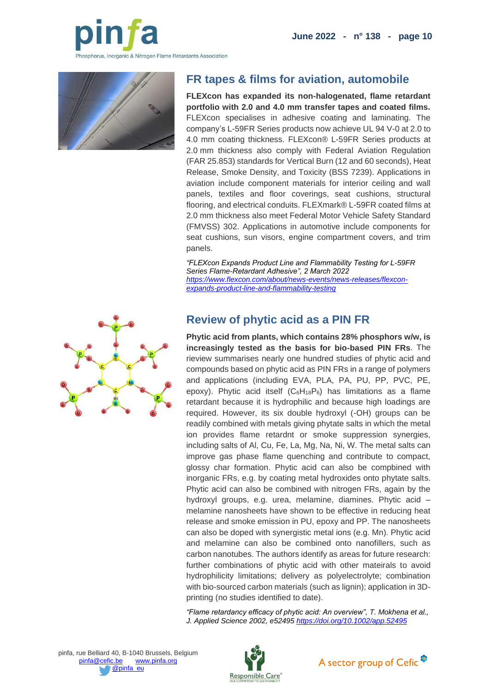

<span id="page-9-0"></span>

## **FR tapes & films for aviation, automobile**

**FLEXcon has expanded its non-halogenated, flame retardant portfolio with 2.0 and 4.0 mm transfer tapes and coated films.**  FLEXcon specialises in adhesive coating and laminating. The company's L-59FR Series products now achieve UL 94 V-0 at 2.0 to 4.0 mm coating thickness. FLEXcon® L-59FR Series products at 2.0 mm thickness also comply with Federal Aviation Regulation (FAR 25.853) standards for Vertical Burn (12 and 60 seconds), Heat Release, Smoke Density, and Toxicity (BSS 7239). Applications in aviation include component materials for interior ceiling and wall panels, textiles and floor coverings, seat cushions, structural flooring, and electrical conduits. FLEXmark® L-59FR coated films at 2.0 mm thickness also meet Federal Motor Vehicle Safety Standard (FMVSS) 302. Applications in automotive include components for seat cushions, sun visors, engine compartment covers, and trim panels.

*"FLEXcon Expands Product Line and Flammability Testing for L-59FR Series Flame-Retardant Adhesive", 2 March 2022 [https://www.flexcon.com/about/news-events/news-releases/flexcon](https://www.flexcon.com/about/news-events/news-releases/flexcon-expands-product-line-and-flammability-testing)[expands-product-line-and-flammability-testing](https://www.flexcon.com/about/news-events/news-releases/flexcon-expands-product-line-and-flammability-testing)*

# **Review of phytic acid as a PIN FR**

**Phytic acid from plants, which contains 28% phosphors w/w, is increasingly tested as the basis for bio-based PIN FRs**. The rieview summarises nearly one hundred studies of phytic acid and compounds based on phytic acid as PIN FRs in a range of polymers and applications (including EVA, PLA, PA, PU, PP, PVC, PE, epoxy). Phytic acid itself  $(C_6H_{18}P_6)$  has limitations as a flame retardant because it is hydrophilic and because high loadings are required. However, its six double hydroxyl (-OH) groups can be readily combined with metals giving phytate salts in which the metal ion provides flame retardnt or smoke suppression synergies, including salts of Al, Cu, Fe, La, Mg, Na, Ni, W. The metal salts can improve gas phase flame quenching and contribute to compact, glossy char formation. Phytic acid can also be compbined with inorganic FRs, e.g. by coating metal hydroxides onto phytate salts. Phytic acid can also be combined with nitrogen FRs, again by the hydroxyl groups, e.g. urea, melamine, diamines. Phytic acid – melamine nanosheets have shown to be effective in reducing heat release and smoke emission in PU, epoxy and PP. The nanosheets can also be doped with synergistic metal ions (e.g. Mn). Phytic acid and melamine can also be combined onto nanofillers, such as carbon nanotubes. The authors identify as areas for future research: further combinations of phytic acid with other mateirals to avoid hydrophilicity limitations; delivery as polyelectrolyte; combination with bio-sourced carbon materials (such as lignin); application in 3Dprinting (no studies identified to date).

*"Flame retardancy efficacy of phytic acid: An overview", T. Mokhena et al., J. Applied Science 2002, e52495 <https://doi.org/10.1002/app.52495>*

<span id="page-9-1"></span>



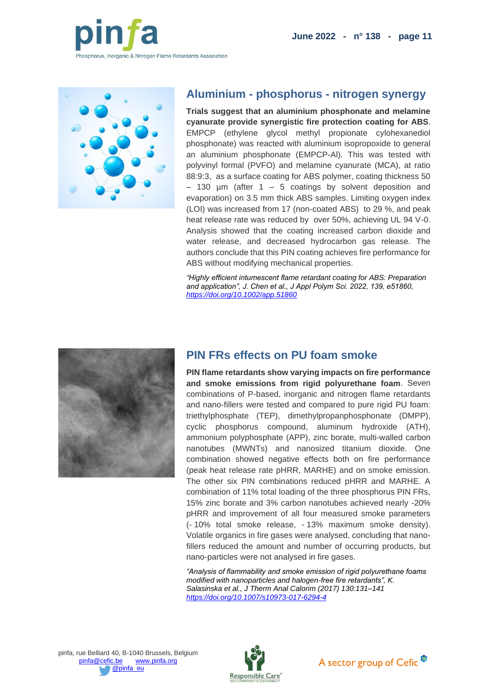

<span id="page-10-0"></span>

#### **Aluminium - phosphorus - nitrogen synergy**

**Trials suggest that an aluminium phosphonate and melamine cyanurate provide synergistic fire protection coating for ABS**. EMPCP (ethylene glycol methyl propionate cylohexanediol phosphonate) was reacted with aluminium isopropoxide to general an aluminium phosphonate (EMPCP-Al). This was tested with polyvinyl formal (PVFO) and melamine cyanurate (MCA), at ratio 88:9:3, as a surface coating for ABS polymer, coating thickness 50  $-$  130 µm (after 1 – 5 coatings by solvent deposition and evaporation) on 3.5 mm thick ABS samples. Limiting oxygen index (LOI) was increased from 17 (non-coated ABS) to 29 %, and peak heat release rate was reduced by over 50%, achieving UL 94 V-0. Analysis showed that the coating increased carbon dioxide and water release, and decreased hydrocarbon gas release. The authors conclude that this PIN coating achieves fire performance for ABS without modifying mechanical properties.

*"Highly efficient intumescent flame retardant coating for ABS: Preparation and application", J. Chen et al., J Appl Polym Sci. 2022, 139, e51860, <https://doi.org/10.1002/app.51860>*

<span id="page-10-1"></span>

### **PIN FRs effects on PU foam smoke**

**PIN flame retardants show varying impacts on fire performance and smoke emissions from rigid polyurethane foam**. Seven combinations of P-based, inorganic and nitrogen flame retardants and nano-fillers were tested and compared to pure rigid PU foam: triethylphosphate (TEP), dimethylpropanphosphonate (DMPP), cyclic phosphorus compound, aluminum hydroxide (ATH), ammonium polyphosphate (APP), zinc borate, multi-walled carbon nanotubes (MWNTs) and nanosized titanium dioxide. One combination showed negative effects both on fire performance (peak heat release rate pHRR, MARHE) and on smoke emission. The other six PIN combinations reduced pHRR and MARHE. A combination of 11% total loading of the three phosphorus PIN FRs, 15% zinc borate and 3% carbon nanotubes achieved nearly -20% pHRR and improvement of all four measured smoke parameters (- 10% total smoke release, - 13% maximum smoke density). Volatile organics in fire gases were analysed, concluding that nanofillers reduced the amount and number of occurring products, but nano-particles were not analysed in fire gases.

*"Analysis of flammability and smoke emission of rigid polyurethane foams modified with nanoparticles and halogen-free fire retardants", K. Salasinska et al., J Therm Anal Calorim (2017) 130:131–141 <https://doi.org/10.1007/s10973-017-6294-4>*